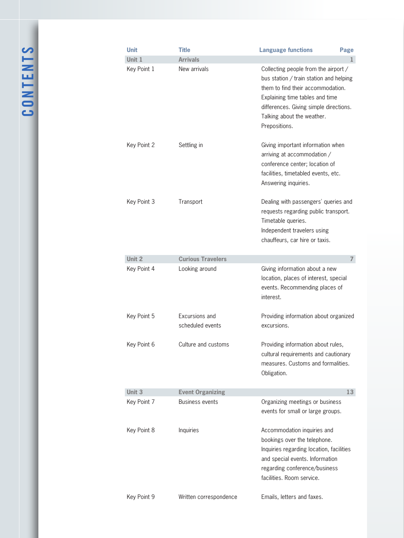CONTENTS **Contents**

| <b>Unit</b> | <b>Title</b>                       | <b>Language functions</b><br>Page                                                                                                                                                                                                                |                |
|-------------|------------------------------------|--------------------------------------------------------------------------------------------------------------------------------------------------------------------------------------------------------------------------------------------------|----------------|
| Unit 1      | <b>Arrivals</b>                    |                                                                                                                                                                                                                                                  | 1              |
| Key Point 1 | New arrivals                       | Collecting people from the airport /<br>bus station / train station and helping<br>them to find their accommodation.<br>Explaining time tables and time<br>differences. Giving simple directions.<br>Talking about the weather.<br>Prepositions. |                |
| Key Point 2 | Settling in                        | Giving important information when<br>arriving at accommodation /<br>conference center; location of<br>facilities, timetabled events, etc.<br>Answering inquiries.                                                                                |                |
| Key Point 3 | Transport                          | Dealing with passengers' queries and<br>requests regarding public transport.<br>Timetable queries.<br>Independent travelers using<br>chauffeurs, car hire or taxis.                                                                              |                |
| Unit 2      | <b>Curious Travelers</b>           |                                                                                                                                                                                                                                                  | $\overline{ }$ |
| Key Point 4 | Looking around                     | Giving information about a new<br>location, places of interest, special<br>events. Recommending places of<br>interest.                                                                                                                           |                |
| Key Point 5 | Excursions and<br>scheduled events | Providing information about organized<br>excursions.                                                                                                                                                                                             |                |
| Key Point 6 | Culture and customs                | Providing information about rules,<br>cultural requirements and cautionary<br>measures. Customs and formalities.<br>Obligation.                                                                                                                  |                |
| Unit 3      | <b>Event Organizing</b>            | 13                                                                                                                                                                                                                                               |                |
| Key Point 7 | <b>Business events</b>             | Organizing meetings or business<br>events for small or large groups.                                                                                                                                                                             |                |
| Key Point 8 | Inquiries                          | Accommodation inquiries and<br>bookings over the telephone.<br>Inquiries regarding location, facilities<br>and special events. Information<br>regarding conference/business<br>facilities. Room service.                                         |                |
| Key Point 9 | Written correspondence             | Emails, letters and faxes.                                                                                                                                                                                                                       |                |